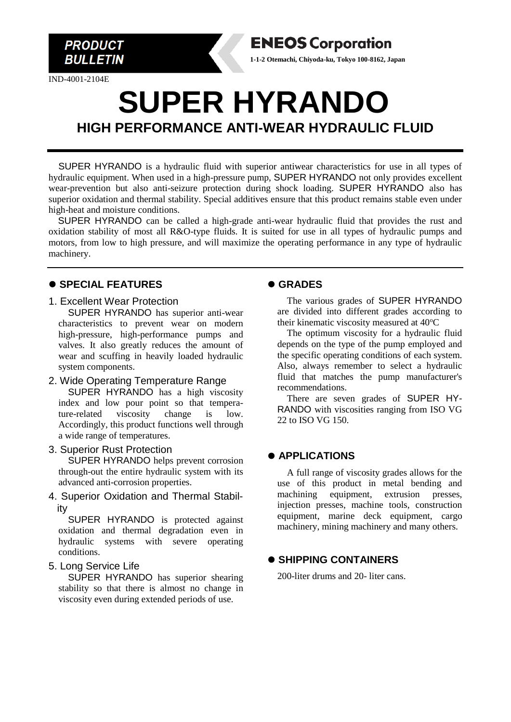

IND-4001-2104E

# **SUPER HYRANDO HIGH PERFORMANCE ANTI-WEAR HYDRAULIC FLUID**

SUPER HYRANDO is a hydraulic fluid with superior antiwear characteristics for use in all types of hydraulic equipment. When used in a high-pressure pump, SUPER HYRANDO not only provides excellent wear-prevention but also anti-seizure protection during shock loading. SUPER HYRANDO also has superior oxidation and thermal stability. Special additives ensure that this product remains stable even under high-heat and moisture conditions.

SUPER HYRANDO can be called a high-grade anti-wear hydraulic fluid that provides the rust and oxidation stability of most all R&O-type fluids. It is suited for use in all types of hydraulic pumps and motors, from low to high pressure, and will maximize the operating performance in any type of hydraulic machinery.

#### ⚫ **SPECIAL FEATURES**

1. Excellent Wear Protection

SUPER HYRANDO has superior anti-wear characteristics to prevent wear on modern high-pressure, high-performance pumps and valves. It also greatly reduces the amount of wear and scuffing in heavily loaded hydraulic system components.

- 2. Wide Operating Temperature Range SUPER HYRANDO has a high viscosity index and low pour point so that temperature-related viscosity change is low. Accordingly, this product functions well through a wide range of temperatures.
- 3. Superior Rust Protection

SUPER HYRANDO helps prevent corrosion through-out the entire hydraulic system with its advanced anti-corrosion properties.

4. Superior Oxidation and Thermal Stability

SUPER HYRANDO is protected against oxidation and thermal degradation even in hydraulic systems with severe operating conditions.

#### 5. Long Service Life

SUPER HYRANDO has superior shearing stability so that there is almost no change in viscosity even during extended periods of use.

# ⚫ **GRADES**

**ENEOS Corporation 1-1-2 Otemachi, Chiyoda-ku, Tokyo 100-8162, Japan**

> The various grades of SUPER HYRANDO are divided into different grades according to their kinematic viscosity measured at 40°C

> The optimum viscosity for a hydraulic fluid depends on the type of the pump employed and the specific operating conditions of each system. Also, always remember to select a hydraulic fluid that matches the pump manufacturer's recommendations.

> There are seven grades of SUPER HY-RANDO with viscosities ranging from ISO VG 22 to ISO VG 150.

# ⚫ **APPLICATIONS**

A full range of viscosity grades allows for the use of this product in metal bending and machining equipment, extrusion presses, injection presses, machine tools, construction equipment, marine deck equipment, cargo machinery, mining machinery and many others.

# ⚫ **SHIPPING CONTAINERS**

200-liter drums and 20- liter cans.